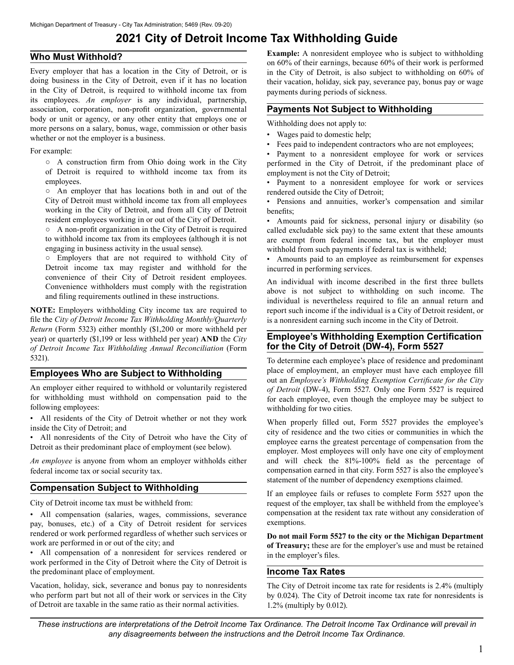# **2021 City of Detroit Income Tax Withholding Guide**

## **Who Must Withhold?**

 association, corporation, non-profit organization, governmental Every employer that has a location in the City of Detroit, or is doing business in the City of Detroit, even if it has no location in the City of Detroit, is required to withhold income tax from its employees. *An employer* is any individual, partnership, body or unit or agency, or any other entity that employs one or more persons on a salary, bonus, wage, commission or other basis whether or not the employer is a business.

For example:

○ A construction firm from Ohio doing work in the City of Detroit is required to withhold income tax from its employees.

○ An employer that has locations both in and out of the City of Detroit must withhold income tax from all employees working in the City of Detroit, and from all City of Detroit resident employees working in or out of the City of Detroit.

○ A non-profit organization in the City of Detroit is required to withhold income tax from its employees (although it is not engaging in business activity in the usual sense).

○ Employers that are not required to withhold City of Detroit income tax may register and withhold for the convenience of their City of Detroit resident employees. Convenience withholders must comply with the registration and filing requirements outlined in these instructions.

**NOTE:** Employers withholding City income tax are required to file the *City of Detroit Income Tax Withholding Monthly/Quarterly Return* (Form 5323) either monthly (\$1,200 or more withheld per year) or quarterly (\$1,199 or less withheld per year) **AND** the *City of Detroit Income Tax Withholding Annual Reconciliation* (Form 5321).

## **Employees Who are Subject to Withholding**

An employer either required to withhold or voluntarily registered for withholding must withhold on compensation paid to the following employees:

• All residents of the City of Detroit whether or not they work inside the City of Detroit; and

• All nonresidents of the City of Detroit who have the City of Detroit as their predominant place of employment (see below).

*An employee* is anyone from whom an employer withholds either federal income tax or social security tax.

## **Compensation Subject to Withholding**

City of Detroit income tax must be withheld from:

• All compensation (salaries, wages, commissions, severance pay, bonuses, etc.) of a City of Detroit resident for services rendered or work performed regardless of whether such services or work are performed in or out of the city; and

• All compensation of a nonresident for services rendered or work performed in the City of Detroit where the City of Detroit is the predominant place of employment.

Vacation, holiday, sick, severance and bonus pay to nonresidents who perform part but not all of their work or services in the City of Detroit are taxable in the same ratio as their normal activities.

**Example:** A nonresident employee who is subject to withholding on 60% of their earnings, because 60% of their work is performed in the City of Detroit, is also subject to withholding on 60% of their vacation, holiday, sick pay, severance pay, bonus pay or wage payments during periods of sickness.

#### **Payments Not Subject to Withholding**

Withholding does not apply to:

- Wages paid to domestic help;
- Fees paid to independent contractors who are not employees;

Payment to a nonresident employee for work or services performed in the City of Detroit, if the predominant place of employment is not the City of Detroit;

• Payment to a nonresident employee for work or services rendered outside the City of Detroit;

• Pensions and annuities, worker's compensation and similar benefits;

• Amounts paid for sickness, personal injury or disability (so called excludable sick pay) to the same extent that these amounts are exempt from federal income tax, but the employer must withhold from such payments if federal tax is withheld;

• Amounts paid to an employee as reimbursement for expenses incurred in performing services.

An individual with income described in the first three bullets above is not subject to withholding on such income. The individual is nevertheless required to file an annual return and report such income if the individual is a City of Detroit resident, or is a nonresident earning such income in the City of Detroit.

## **Employee's Withholding Exemption Certification for the City of Detroit (DW-4), Form 5527**

To determine each employee's place of residence and predominant place of employment, an employer must have each employee fill out an *Employee's Withholding Exemption Certificate for the City of Detroit* (DW-4), Form 5527. Only one Form 5527 is required for each employee, even though the employee may be subject to withholding for two cities.

When properly filled out, Form 5527 provides the employee's city of residence and the two cities or communities in which the employee earns the greatest percentage of compensation from the employer. Most employees will only have one city of employment and will check the 81%-100% field as the percentage of compensation earned in that city. Form 5527 is also the employee's statement of the number of dependency exemptions claimed.

If an employee fails or refuses to complete Form 5527 upon the request of the employer, tax shall be withheld from the employee's compensation at the resident tax rate without any consideration of exemptions.

**Do not mail Form 5527 to the city or the Michigan Department of Treasury;** these are for the employer's use and must be retained in the employer's files.

#### **Income Tax Rates**

The City of Detroit income tax rate for residents is 2.4% (multiply by 0.024). The City of Detroit income tax rate for nonresidents is 1.2% (multiply by 0.012).

*These instructions are interpretations of the Detroit Income Tax Ordinance. The Detroit Income Tax Ordinance will prevail in any disagreements between the instructions and the Detroit Income Tax Ordinance.*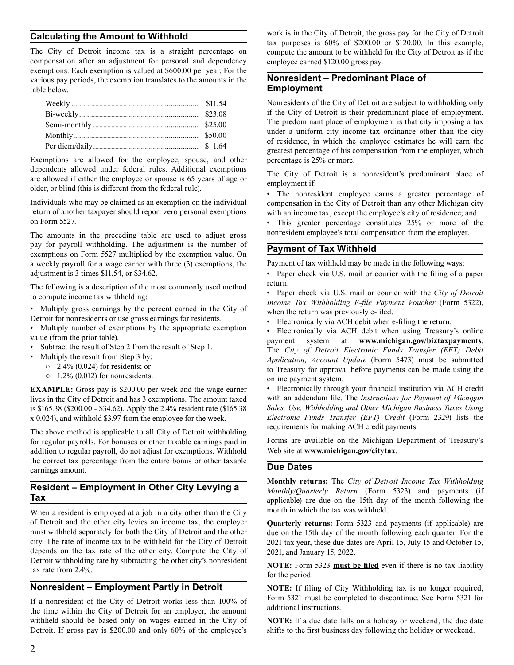# **Calculating the Amount to Withhold**

The City of Detroit income tax is a straight percentage on compensation after an adjustment for personal and dependency exemptions. Each exemption is valued at \$600.00 per year. For the various pay periods, the exemption translates to the amounts in the table below.

Exemptions are allowed for the employee, spouse, and other dependents allowed under federal rules. Additional exemptions are allowed if either the employee or spouse is 65 years of age or older, or blind (this is different from the federal rule).

Individuals who may be claimed as an exemption on the individual return of another taxpayer should report zero personal exemptions on Form 5527.

The amounts in the preceding table are used to adjust gross pay for payroll withholding. The adjustment is the number of exemptions on Form 5527 multiplied by the exemption value. On a weekly payroll for a wage earner with three (3) exemptions, the adjustment is 3 times \$11.54, or \$34.62.

The following is a description of the most commonly used method to compute income tax withholding:

• Multiply gross earnings by the percent earned in the City of Detroit for nonresidents or use gross earnings for residents.

• Multiply number of exemptions by the appropriate exemption value (from the prior table).

- Subtract the result of Step 2 from the result of Step 1.
- Multiply the result from Step 3 by:
	- $\degree$  2.4% (0.024) for residents; or
	- $\circ$  1.2% (0.012) for nonresidents.

**EXAMPLE:** Gross pay is \$200.00 per week and the wage earner lives in the City of Detroit and has 3 exemptions. The amount taxed is \$165.38 (\$200.00 - \$34.62). Apply the 2.4% resident rate (\$165.38 x 0.024), and withhold \$3.97 from the employee for the week.

The above method is applicable to all City of Detroit withholding for regular payrolls. For bonuses or other taxable earnings paid in addition to regular payroll, do not adjust for exemptions. Withhold the correct tax percentage from the entire bonus or other taxable earnings amount.

## **Resident – Employment in Other City Levying a Tax**

When a resident is employed at a job in a city other than the City of Detroit and the other city levies an income tax, the employer must withhold separately for both the City of Detroit and the other city. The rate of income tax to be withheld for the City of Detroit depends on the tax rate of the other city. Compute the City of Detroit withholding rate by subtracting the other city's nonresident tax rate from 2.4%.

#### **Nonresident – Employment Partly in Detroit**

If a nonresident of the City of Detroit works less than 100% of the time within the City of Detroit for an employer, the amount withheld should be based only on wages earned in the City of Detroit. If gross pay is \$200.00 and only 60% of the employee's work is in the City of Detroit, the gross pay for the City of Detroit tax purposes is 60% of \$200.00 or \$120.00. In this example, compute the amount to be withheld for the City of Detroit as if the employee earned \$120.00 gross pay.

# **Nonresident – Predominant Place of Employment**

Nonresidents of the City of Detroit are subject to withholding only if the City of Detroit is their predominant place of employment. The predominant place of employment is that city imposing a tax under a uniform city income tax ordinance other than the city of residence, in which the employee estimates he will earn the greatest percentage of his compensation from the employer, which percentage is 25% or more.

The City of Detroit is a nonresident's predominant place of employment if:

• The nonresident employee earns a greater percentage of compensation in the City of Detroit than any other Michigan city with an income tax, except the employee's city of residence; and

• This greater percentage constitutes 25% or more of the nonresident employee's total compensation from the employer.

# **Payment of Tax Withheld**

Payment of tax withheld may be made in the following ways:

• Paper check via U.S. mail or courier with the filing of a paper return.

• Paper check via U.S. mail or courier with the *City of Detroit Income Tax Withholding E-file Payment Voucher* (Form 5322), when the return was previously e-filed.

• Electronically via ACH debit when e-filing the return.

• Electronically via ACH debit when using Treasury's online payment system at **<www.michigan.gov/biztaxpayments>**. The *City of Detroit Electronic Funds Transfer (EFT) Debit Application, Account Update* (Form 5473) must be submitted to Treasury for approval before payments can be made using the online payment system.

• Electronically through your financial institution via ACH credit with an addendum file. The *Instructions for Payment of Michigan Sales, Use, Withholding and Other Michigan Business Taxes Using Electronic Funds Transfer (EFT) Credit* (Form 2329) lists the requirements for making ACH credit payments.

Forms are available on the Michigan Department of Treasury's Web site at **<www.michigan.gov/citytax>**.

#### **Due Dates**

**Monthly returns:** The *City of Detroit Income Tax Withholding Monthly/Quarterly Return* (Form 5323) and payments (if applicable) are due on the 15th day of the month following the month in which the tax was withheld.

**Quarterly returns:** Form 5323 and payments (if applicable) are due on the 15th day of the month following each quarter. For the 2021 tax year, these due dates are April 15, July 15 and October 15, 2021, and January 15, 2022.

**NOTE:** Form 5323 **must be filed** even if there is no tax liability for the period.

**NOTE:** If filing of City Withholding tax is no longer required, Form 5321 must be completed to discontinue. See Form 5321 for additional instructions.

**NOTE:** If a due date falls on a holiday or weekend, the due date shifts to the first business day following the holiday or weekend.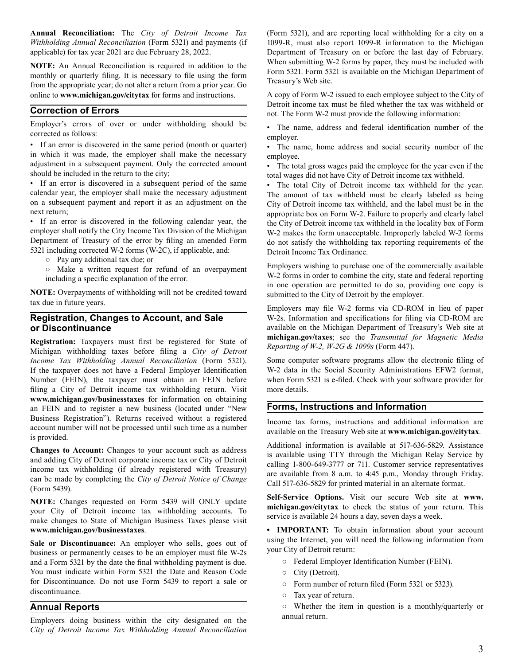**Annual Reconciliation:** The *City of Detroit Income Tax Withholding Annual Reconciliation* (Form 5321) and payments (if applicable) for tax year 2021 are due February 28, 2022.

**NOTE:** An Annual Reconciliation is required in addition to the monthly or quarterly filing. It is necessary to file using the form from the appropriate year; do not alter a return from a prior year. Go online to **<www.michigan.gov/citytax>** for forms and instructions.

## **Correction of Errors**

Employer's errors of over or under withholding should be corrected as follows:

• If an error is discovered in the same period (month or quarter) in which it was made, the employer shall make the necessary adjustment in a subsequent payment. Only the corrected amount should be included in the return to the city;

• If an error is discovered in a subsequent period of the same calendar year, the employer shall make the necessary adjustment on a subsequent payment and report it as an adjustment on the next return;

• If an error is discovered in the following calendar year, the employer shall notify the City Income Tax Division of the Michigan Department of Treasury of the error by filing an amended Form 5321 including corrected W-2 forms (W-2C), if applicable, and:

- Pay any additional tax due; or
- Make a written request for refund of an overpayment including a specific explanation of the error.

**NOTE:** Overpayments of withholding will not be credited toward tax due in future years.

#### **Registration, Changes to Account, and Sale or Discontinuance**

**Registration:** Taxpayers must first be registered for State of Michigan withholding taxes before filing a *City of Detroit Income Tax Withholding Annual Reconciliation* (Form 5321). If the taxpayer does not have a Federal Employer Identification Number (FEIN), the taxpayer must obtain an FEIN before filing a City of Detroit income tax withholding return. Visit **<www.michigan.gov/businesstaxes>**for information on obtaining an FEIN and to register a new business (located under "New Business Registration"). Returns received without a registered account number will not be processed until such time as a number is provided.

**Changes to Account:** Changes to your account such as address and adding City of Detroit corporate income tax or City of Detroit income tax withholding (if already registered with Treasury) can be made by completing the *City of Detroit Notice of Change*  (Form 5439).

**NOTE:** Changes requested on Form 5439 will ONLY update your City of Detroit income tax withholding accounts. To make changes to State of Michigan Business Taxes please visit **<www.michigan.gov/businesstaxes>**.

Sale or Discontinuance: An employer who sells, goes out of business or permanently ceases to be an employer must file W-2s and a Form 5321 by the date the final withholding payment is due. You must indicate within Form 5321 the Date and Reason Code for Discontinuance. Do not use Form 5439 to report a sale or discontinuance.

#### **Annual Reports**

Employers doing business within the city designated on the *City of Detroit Income Tax Withholding Annual Reconciliation* 

(Form 5321), and are reporting local withholding for a city on a 1099-R, must also report 1099-R information to the Michigan Department of Treasury on or before the last day of February. When submitting W-2 forms by paper, they must be included with Form 5321. Form 5321 is available on the Michigan Department of Treasury's Web site.

A copy of Form W-2 issued to each employee subject to the City of Detroit income tax must be filed whether the tax was withheld or not. The Form W-2 must provide the following information:

• The name, address and federal identification number of the employer.

• The name, home address and social security number of the employee.

• The total gross wages paid the employee for the year even if the total wages did not have City of Detroit income tax withheld.

• The total City of Detroit income tax withheld for the year. The amount of tax withheld must be clearly labeled as being City of Detroit income tax withheld, and the label must be in the appropriate box on Form W-2. Failure to properly and clearly label the City of Detroit income tax withheld in the locality box of Form W-2 makes the form unacceptable. Improperly labeled W-2 forms do not satisfy the withholding tax reporting requirements of the Detroit Income Tax Ordinance.

Employers wishing to purchase one of the commercially available W-2 forms in order to combine the city, state and federal reporting in one operation are permitted to do so, providing one copy is submitted to the City of Detroit by the employer.

Employers may file W-2 forms via CD-ROM in lieu of paper W-2s. Information and specifications for filing via CD-ROM are available on the Michigan Department of Treasury's Web site at **[michigan.gov/taxes](https://michigan.gov/taxes)**; see the *Transmittal for Magnetic Media Reporting of W-2, W-2G & 1099s* (Form 447).

Some computer software programs allow the electronic filing of W-2 data in the Social Security Administrations EFW2 format, when Form 5321 is e-filed. Check with your software provider for more details.

# **Forms, Instructions and Information**

Income tax forms, instructions and additional information are available on the Treasury Web site at **<www.michigan.gov/citytax>**.

Additional information is available at 517-636-5829. Assistance is available using TTY through the Michigan Relay Service by calling 1-800-649-3777 or 711. Customer service representatives are available from 8 a.m. to 4:45 p.m., Monday through Friday. Call 517-636-5829 for printed material in an alternate format.

**Self-Service Options.** Visit our secure Web site at **www. [michigan.gov/citytax](https://michigan.gov/citytax)** to check the status of your return. This service is available 24 hours a day, seven days a week.

**• IMPORTANT:** To obtain information about your account using the Internet, you will need the following information from your City of Detroit return:

- Federal Employer Identification Number (FEIN).
- City (Detroit).
- Form number of return filed (Form 5321 or 5323).
- Tax year of return.

○ Whether the item in question is a monthly/quarterly or annual return.